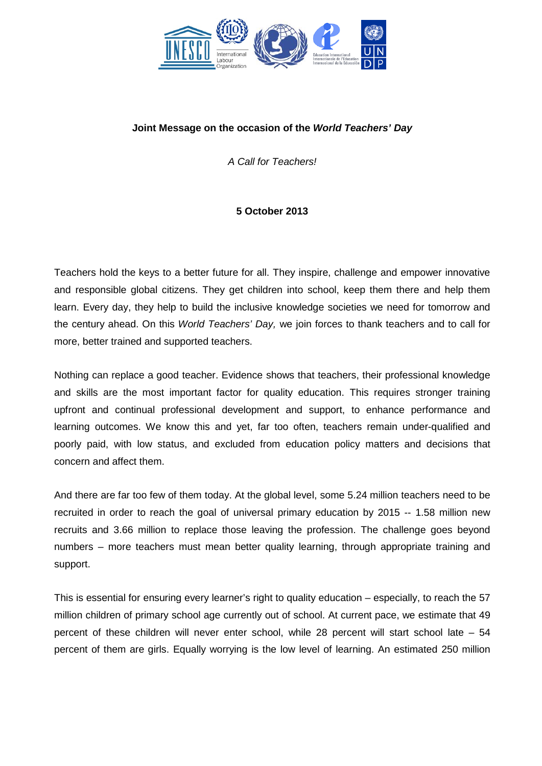

## **Joint Message on the occasion of the** *World Teachers' Day*

*A Call for Teachers!*

## **5 October 2013**

Teachers hold the keys to a better future for all. They inspire, challenge and empower innovative and responsible global citizens. They get children into school, keep them there and help them learn. Every day, they help to build the inclusive knowledge societies we need for tomorrow and the century ahead. On this *World Teachers' Day,* we join forces to thank teachers and to call for more, better trained and supported teachers.

Nothing can replace a good teacher. Evidence shows that teachers, their professional knowledge and skills are the most important factor for quality education. This requires stronger training upfront and continual professional development and support, to enhance performance and learning outcomes. We know this and yet, far too often, teachers remain under-qualified and poorly paid, with low status, and excluded from education policy matters and decisions that concern and affect them.

And there are far too few of them today. At the global level, some 5.24 million teachers need to be recruited in order to reach the goal of universal primary education by 2015 -- 1.58 million new recruits and 3.66 million to replace those leaving the profession. The challenge goes beyond numbers – more teachers must mean better quality learning, through appropriate training and support.

This is essential for ensuring every learner's right to quality education – especially, to reach the 57 million children of primary school age currently out of school. At current pace, we estimate that 49 percent of these children will never enter school, while 28 percent will start school late – 54 percent of them are girls. Equally worrying is the low level of learning. An estimated 250 million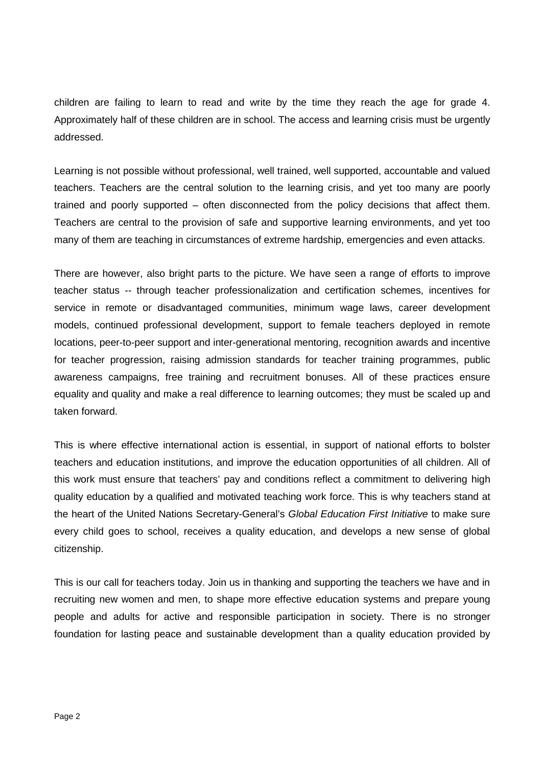children are failing to learn to read and write by the time they reach the age for grade 4. Approximately half of these children are in school. The access and learning crisis must be urgently addressed.

Learning is not possible without professional, well trained, well supported, accountable and valued teachers. Teachers are the central solution to the learning crisis, and yet too many are poorly trained and poorly supported – often disconnected from the policy decisions that affect them. Teachers are central to the provision of safe and supportive learning environments, and yet too many of them are teaching in circumstances of extreme hardship, emergencies and even attacks.

There are however, also bright parts to the picture. We have seen a range of efforts to improve teacher status -- through teacher professionalization and certification schemes, incentives for service in remote or disadvantaged communities, minimum wage laws, career development models, continued professional development, support to female teachers deployed in remote locations, peer-to-peer support and inter-generational mentoring, recognition awards and incentive for teacher progression, raising admission standards for teacher training programmes, public awareness campaigns, free training and recruitment bonuses. All of these practices ensure equality and quality and make a real difference to learning outcomes; they must be scaled up and taken forward.

This is where effective international action is essential, in support of national efforts to bolster teachers and education institutions, and improve the education opportunities of all children. All of this work must ensure that teachers' pay and conditions reflect a commitment to delivering high quality education by a qualified and motivated teaching work force. This is why teachers stand at the heart of the United Nations Secretary-General's *Global Education First Initiative* to make sure every child goes to school, receives a quality education, and develops a new sense of global citizenship.

This is our call for teachers today. Join us in thanking and supporting the teachers we have and in recruiting new women and men, to shape more effective education systems and prepare young people and adults for active and responsible participation in society. There is no stronger foundation for lasting peace and sustainable development than a quality education provided by